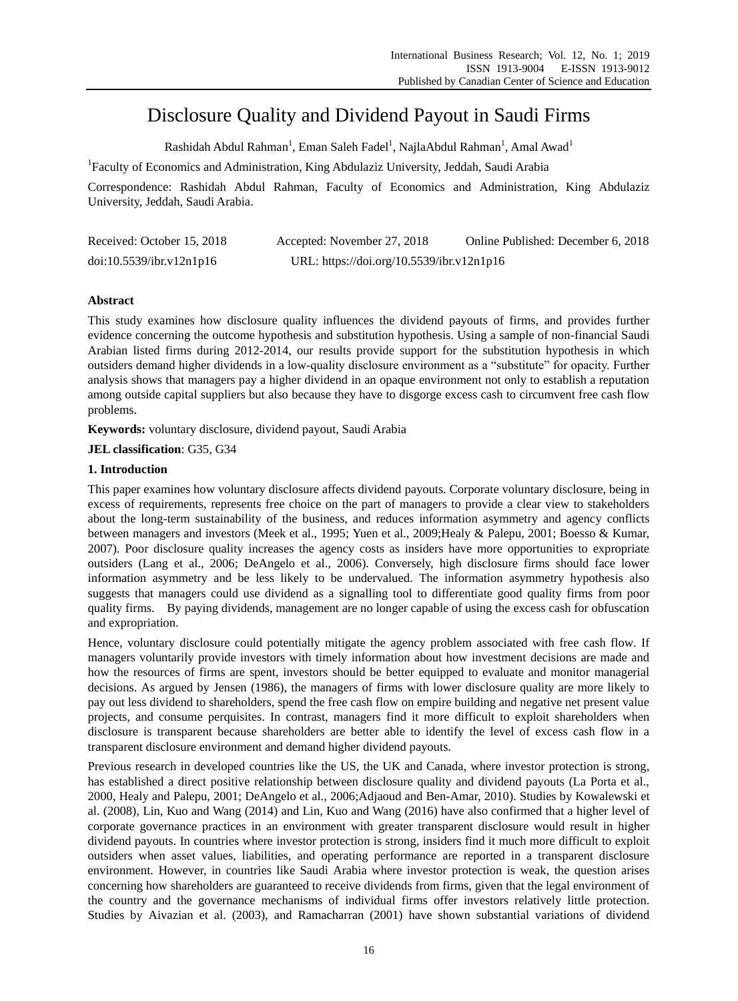# Disclosure Quality and Dividend Payout in Saudi Firms

Rashidah Abdul Rahman<sup>1</sup>, Eman Saleh Fadel<sup>1</sup>, NajlaAbdul Rahman<sup>1</sup>, Amal Awad<sup>1</sup>

<sup>1</sup>Faculty of Economics and Administration, King Abdulaziz University, Jeddah, Saudi Arabia

Correspondence: Rashidah Abdul Rahman, Faculty of Economics and Administration, King Abdulaziz University, Jeddah, Saudi Arabia.

| Received: October 15, 2018 | Accepted: November 27, 2018               | Online Published: December 6, 2018 |
|----------------------------|-------------------------------------------|------------------------------------|
| doi:10.5539/ibr.v12n1p16   | URL: https://doi.org/10.5539/ibr.v12n1p16 |                                    |

# **Abstract**

This study examines how disclosure quality influences the dividend payouts of firms, and provides further evidence concerning the outcome hypothesis and substitution hypothesis. Using a sample of non-financial Saudi Arabian listed firms during 2012-2014, our results provide support for the substitution hypothesis in which outsiders demand higher dividends in a low-quality disclosure environment as a "substitute" for opacity. Further analysis shows that managers pay a higher dividend in an opaque environment not only to establish a reputation among outside capital suppliers but also because they have to disgorge excess cash to circumvent free cash flow problems.

**Keywords:** voluntary disclosure, dividend payout, Saudi Arabia

**JEL classification**: G35, G34

# **1. Introduction**

This paper examines how voluntary disclosure affects dividend payouts. Corporate voluntary disclosure, being in excess of requirements, represents free choice on the part of managers to provide a clear view to stakeholders about the long-term sustainability of the business, and reduces information asymmetry and agency conflicts between managers and investors (Meek et al., 1995; Yuen et al., 2009;Healy & Palepu, 2001; Boesso & Kumar, 2007). Poor disclosure quality increases the agency costs as insiders have more opportunities to expropriate outsiders (Lang et al., 2006; DeAngelo et al., 2006). Conversely, high disclosure firms should face lower information asymmetry and be less likely to be undervalued. The information asymmetry hypothesis also suggests that managers could use dividend as a signalling tool to differentiate good quality firms from poor quality firms. By paying dividends, management are no longer capable of using the excess cash for obfuscation and expropriation.

Hence, voluntary disclosure could potentially mitigate the agency problem associated with free cash flow. If managers voluntarily provide investors with timely information about how investment decisions are made and how the resources of firms are spent, investors should be better equipped to evaluate and monitor managerial decisions. As argued by Jensen (1986), the managers of firms with lower disclosure quality are more likely to pay out less dividend to shareholders, spend the free cash flow on empire building and negative net present value projects, and consume perquisites. In contrast, managers find it more difficult to exploit shareholders when disclosure is transparent because shareholders are better able to identify the level of excess cash flow in a transparent disclosure environment and demand higher dividend payouts.

Previous research in developed countries like the US, the UK and Canada, where investor protection is strong, has established a direct positive relationship between disclosure quality and dividend payouts (La Porta et al., 2000, Healy and Palepu, 2001; DeAngelo et al., 2006;Adjaoud and Ben-Amar, 2010). Studies by Kowalewski et al. (2008), Lin, Kuo and Wang (2014) and Lin, Kuo and Wang (2016) have also confirmed that a higher level of corporate governance practices in an environment with greater transparent disclosure would result in higher dividend payouts. In countries where investor protection is strong, insiders find it much more difficult to exploit outsiders when asset values, liabilities, and operating performance are reported in a transparent disclosure environment. However, in countries like Saudi Arabia where investor protection is weak, the question arises concerning how shareholders are guaranteed to receive dividends from firms, given that the legal environment of the country and the governance mechanisms of individual firms offer investors relatively little protection. Studies by Aivazian et al. (2003), and Ramacharran (2001) have shown substantial variations of dividend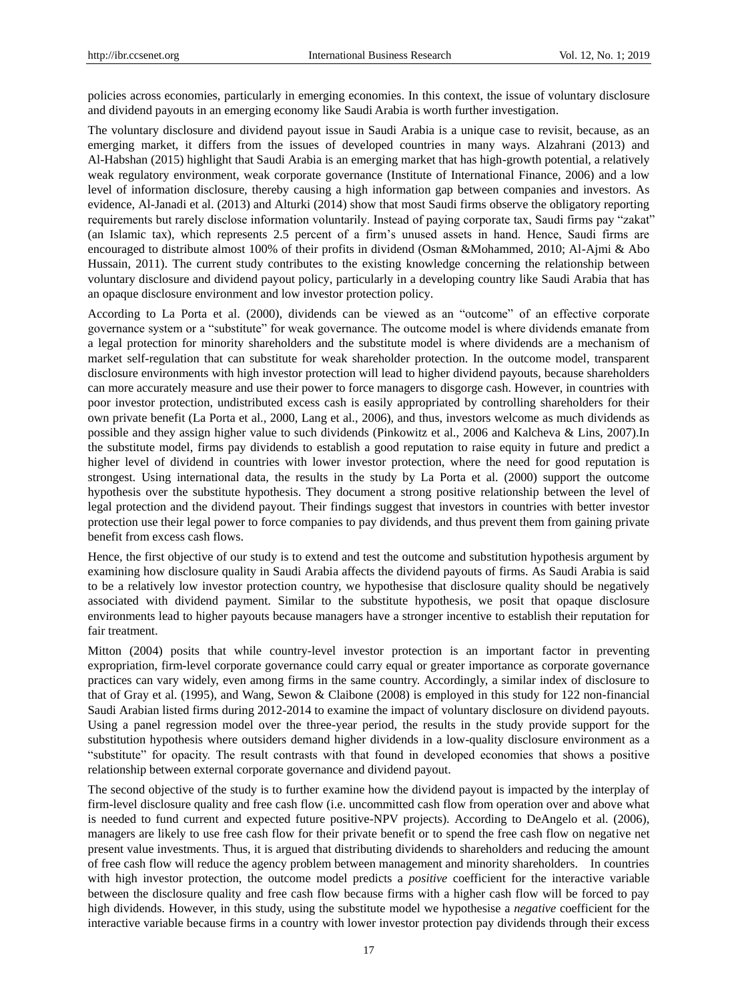policies across economies, particularly in emerging economies. In this context, the issue of voluntary disclosure and dividend payouts in an emerging economy like Saudi Arabia is worth further investigation.

The voluntary disclosure and dividend payout issue in Saudi Arabia is a unique case to revisit, because, as an emerging market, it differs from the issues of developed countries in many ways. Alzahrani (2013) and Al-Habshan (2015) highlight that Saudi Arabia is an emerging market that has high-growth potential, a relatively weak regulatory environment, weak corporate governance (Institute of International Finance, 2006) and a low level of information disclosure, thereby causing a high information gap between companies and investors. As evidence, Al-Janadi et al. (2013) and Alturki (2014) show that most Saudi firms observe the obligatory reporting requirements but rarely disclose information voluntarily. Instead of paying corporate tax, Saudi firms pay "zakat" (an Islamic tax), which represents 2.5 percent of a firm's unused assets in hand. Hence, Saudi firms are encouraged to distribute almost 100% of their profits in dividend (Osman &Mohammed, 2010; Al-Ajmi & Abo Hussain, 2011). The current study contributes to the existing knowledge concerning the relationship between voluntary disclosure and dividend payout policy, particularly in a developing country like Saudi Arabia that has an opaque disclosure environment and low investor protection policy.

According to La Porta et al. (2000), dividends can be viewed as an "outcome" of an effective corporate governance system or a "substitute" for weak governance. The outcome model is where dividends emanate from a legal protection for minority shareholders and the substitute model is where dividends are a mechanism of market self-regulation that can substitute for weak shareholder protection. In the outcome model, transparent disclosure environments with high investor protection will lead to higher dividend payouts, because shareholders can more accurately measure and use their power to force managers to disgorge cash. However, in countries with poor investor protection, undistributed excess cash is easily appropriated by controlling shareholders for their own private benefit (La Porta et al., 2000, Lang et al., 2006), and thus, investors welcome as much dividends as possible and they assign higher value to such dividends (Pinkowitz et al., 2006 and Kalcheva & Lins, 2007).In the substitute model, firms pay dividends to establish a good reputation to raise equity in future and predict a higher level of dividend in countries with lower investor protection, where the need for good reputation is strongest. Using international data, the results in the study by La Porta et al. (2000) support the outcome hypothesis over the substitute hypothesis. They document a strong positive relationship between the level of legal protection and the dividend payout. Their findings suggest that investors in countries with better investor protection use their legal power to force companies to pay dividends, and thus prevent them from gaining private benefit from excess cash flows.

Hence, the first objective of our study is to extend and test the outcome and substitution hypothesis argument by examining how disclosure quality in Saudi Arabia affects the dividend payouts of firms. As Saudi Arabia is said to be a relatively low investor protection country, we hypothesise that disclosure quality should be negatively associated with dividend payment. Similar to the substitute hypothesis, we posit that opaque disclosure environments lead to higher payouts because managers have a stronger incentive to establish their reputation for fair treatment.

Mitton (2004) posits that while country-level investor protection is an important factor in preventing expropriation, firm-level corporate governance could carry equal or greater importance as corporate governance practices can vary widely, even among firms in the same country. Accordingly, a similar index of disclosure to that of Gray et al. (1995), and Wang, Sewon & Claibone (2008) is employed in this study for 122 non-financial Saudi Arabian listed firms during 2012-2014 to examine the impact of voluntary disclosure on dividend payouts. Using a panel regression model over the three-year period, the results in the study provide support for the substitution hypothesis where outsiders demand higher dividends in a low-quality disclosure environment as a "substitute" for opacity. The result contrasts with that found in developed economies that shows a positive relationship between external corporate governance and dividend payout.

The second objective of the study is to further examine how the dividend payout is impacted by the interplay of firm-level disclosure quality and free cash flow (i.e. uncommitted cash flow from operation over and above what is needed to fund current and expected future positive-NPV projects). According to DeAngelo et al. (2006), managers are likely to use free cash flow for their private benefit or to spend the free cash flow on negative net present value investments. Thus, it is argued that distributing dividends to shareholders and reducing the amount of free cash flow will reduce the agency problem between management and minority shareholders. In countries with high investor protection, the outcome model predicts a *positive* coefficient for the interactive variable between the disclosure quality and free cash flow because firms with a higher cash flow will be forced to pay high dividends. However, in this study, using the substitute model we hypothesise a *negative* coefficient for the interactive variable because firms in a country with lower investor protection pay dividends through their excess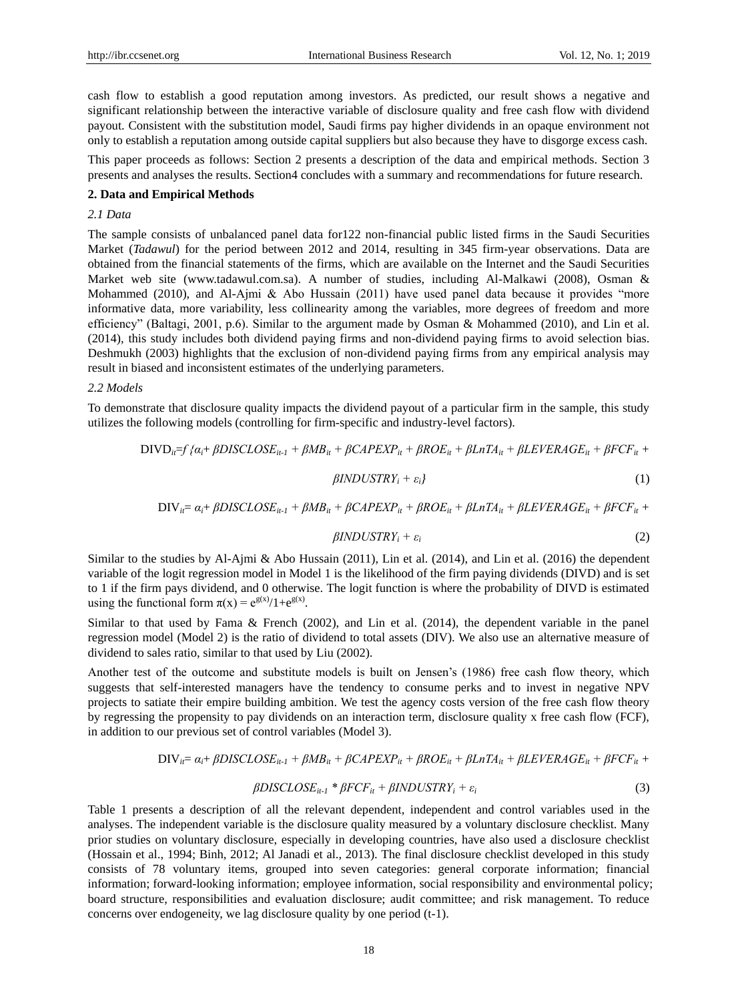cash flow to establish a good reputation among investors. As predicted, our result shows a negative and significant relationship between the interactive variable of disclosure quality and free cash flow with dividend payout. Consistent with the substitution model, Saudi firms pay higher dividends in an opaque environment not only to establish a reputation among outside capital suppliers but also because they have to disgorge excess cash.

This paper proceeds as follows: Section 2 presents a description of the data and empirical methods. Section 3 presents and analyses the results. Section4 concludes with a summary and recommendations for future research.

### **2. Data and Empirical Methods**

*2.1 Data*

The sample consists of unbalanced panel data for122 non-financial public listed firms in the Saudi Securities Market (*Tadawul*) for the period between 2012 and 2014, resulting in 345 firm-year observations. Data are obtained from the financial statements of the firms, which are available on the Internet and the Saudi Securities Market web site (www.tadawul.com.sa). A number of studies, including Al-Malkawi (2008), Osman & Mohammed (2010), and Al-Ajmi & Abo Hussain (2011) have used panel data because it provides "more informative data, more variability, less collinearity among the variables, more degrees of freedom and more efficiency" (Baltagi, 2001, p.6). Similar to the argument made by Osman & Mohammed (2010), and Lin et al. (2014), this study includes both dividend paying firms and non-dividend paying firms to avoid selection bias. Deshmukh (2003) highlights that the exclusion of non-dividend paying firms from any empirical analysis may result in biased and inconsistent estimates of the underlying parameters.

*2.2 Models*

To demonstrate that disclosure quality impacts the dividend payout of a particular firm in the sample, this study utilizes the following models (controlling for firm-specific and industry-level factors).

$$
DIVD_{ii}=f\{a_{i}+\beta DISCLOSE_{it-1}+\beta MB_{it}+\beta CAPEXP_{it}+\beta ROE_{it}+\beta LnTA_{it}+\beta LEVERAGE_{it}+\beta FCF_{it}+\beta INDUSTRY_{i}+\varepsilon_{i}\}
$$
\n(1)

 $DIV_i = \alpha_i + \beta DISCLOSE_{it-1} + \beta MB_{it} + \beta CAPEXP_{it} + \beta ROE_{it} + \beta LnTA_{it} + \beta LEVERAGE_{it} + \beta FCF_{it} + \beta LnTA_{it} + \beta LERAGE_{it} + \beta FCF_{it} + \beta LnTA_{it} + \beta LnTA_{it} + \beta LnTA_{it} + \beta FCF_{it} + \beta LnTA_{it} + \beta LnTA_{it} + \beta LnTA_{it} + \beta FCF_{it} + \beta LnTA_{it} + \beta LnTA_{it} + \beta LnTA_{it} + \beta FCF_{it} + \beta LnTA_{it} + \beta LnTA_{it} + \beta L$ 

$$
\beta INDUSTRY_i + \varepsilon_i \tag{2}
$$

Similar to the studies by Al-Ajmi & Abo Hussain (2011), Lin et al. (2014), and Lin et al. (2016) the dependent variable of the logit regression model in Model 1 is the likelihood of the firm paying dividends (DIVD) and is set to 1 if the firm pays dividend, and 0 otherwise. The logit function is where the probability of DIVD is estimated using the functional form  $\pi(x) = e^{g(x)}/1 + e^{g(x)}$ .

Similar to that used by Fama & French (2002), and Lin et al. (2014), the dependent variable in the panel regression model (Model 2) is the ratio of dividend to total assets (DIV). We also use an alternative measure of dividend to sales ratio, similar to that used by Liu (2002).

Another test of the outcome and substitute models is built on Jensen's (1986) free cash flow theory, which suggests that self-interested managers have the tendency to consume perks and to invest in negative NPV projects to satiate their empire building ambition. We test the agency costs version of the free cash flow theory by regressing the propensity to pay dividends on an interaction term, disclosure quality x free cash flow (FCF), in addition to our previous set of control variables (Model 3).

$$
DIV_{ii} = \alpha_i + \beta DISCLOSE_{ii-1} + \beta MB_{ii} + \beta CAPEXP_{ii} + \beta ROE_{ii} + \beta LnTA_{ii} + \beta LEVERAGE_{ii} + \beta FCF_{ii} +
$$

$$
\beta DISCLOSE_{it-1} * \beta FCF_{it} + \beta INDUSTRY_i + \varepsilon_i \tag{3}
$$

Table 1 presents a description of all the relevant dependent, independent and control variables used in the analyses. The independent variable is the disclosure quality measured by a voluntary disclosure checklist. Many prior studies on voluntary disclosure, especially in developing countries, have also used a disclosure checklist (Hossain et al., 1994; Binh, 2012; Al Janadi et al., 2013). The final disclosure checklist developed in this study consists of 78 voluntary items, grouped into seven categories: general corporate information; financial information; forward-looking information; employee information, social responsibility and environmental policy; board structure, responsibilities and evaluation disclosure; audit committee; and risk management. To reduce concerns over endogeneity, we lag disclosure quality by one period (t-1).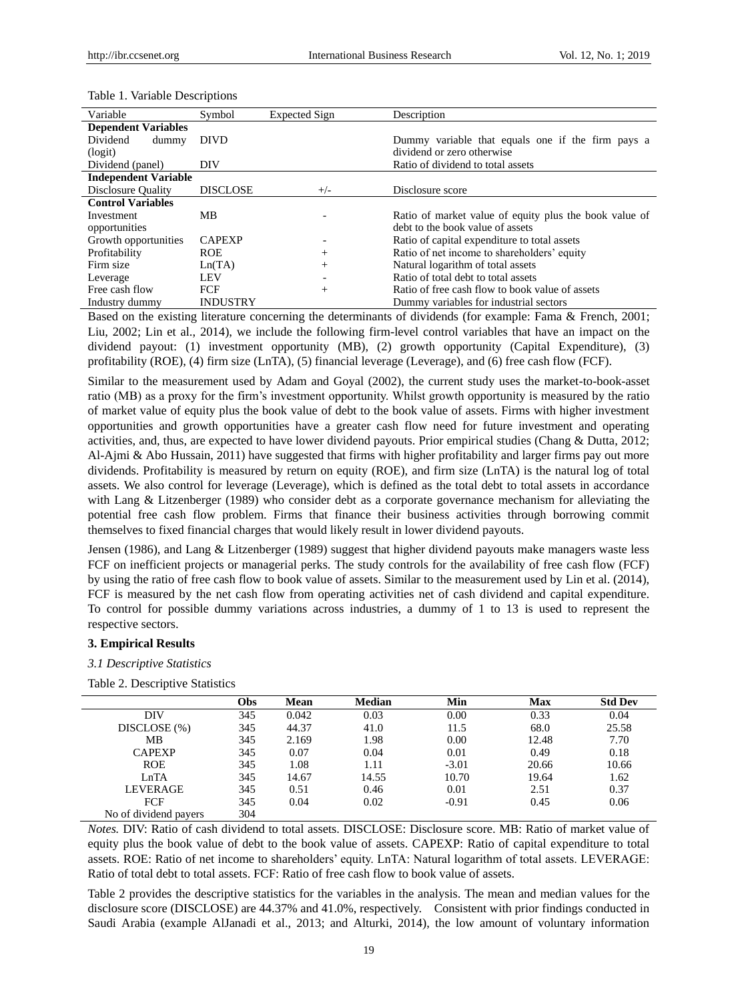Table 1. Variable Descriptions

| Variable                    | Symbol          | Expected Sign | Description                                            |
|-----------------------------|-----------------|---------------|--------------------------------------------------------|
| <b>Dependent Variables</b>  |                 |               |                                                        |
| Dividend<br>dummy           | <b>DIVD</b>     |               | Dummy variable that equals one if the firm pays a      |
| (logit)                     |                 |               | dividend or zero otherwise                             |
| Dividend (panel)            | DIV             |               | Ratio of dividend to total assets                      |
| <b>Independent Variable</b> |                 |               |                                                        |
| Disclosure Quality          | <b>DISCLOSE</b> | $+/-$         | Disclosure score                                       |
| <b>Control Variables</b>    |                 |               |                                                        |
| Investment                  | MВ              |               | Ratio of market value of equity plus the book value of |
| opportunities               |                 |               | debt to the book value of assets                       |
| Growth opportunities        | <b>CAPEXP</b>   |               | Ratio of capital expenditure to total assets           |
| Profitability               | <b>ROE</b>      | $^{+}$        | Ratio of net income to shareholders' equity            |
| Firm size                   | Ln(TA)          | $^{+}$        | Natural logarithm of total assets                      |
| Leverage                    | <b>LEV</b>      |               | Ratio of total debt to total assets                    |
| Free cash flow              | FCF             | $^{+}$        | Ratio of free cash flow to book value of assets        |
| Industry dummy              | <b>INDUSTRY</b> |               | Dummy variables for industrial sectors                 |

Industry dummy INDUSTRY Dummy variables for industrial sectors Based on the existing literature concerning the determinants of dividends (for example: Fama & French, 2001;

Liu, 2002; Lin et al., 2014), we include the following firm-level control variables that have an impact on the dividend payout: (1) investment opportunity (MB), (2) growth opportunity (Capital Expenditure), (3) profitability (ROE), (4) firm size (LnTA), (5) financial leverage (Leverage), and (6) free cash flow (FCF).

Similar to the measurement used by Adam and Goyal (2002), the current study uses the market-to-book-asset ratio (MB) as a proxy for the firm's investment opportunity. Whilst growth opportunity is measured by the ratio of market value of equity plus the book value of debt to the book value of assets. Firms with higher investment opportunities and growth opportunities have a greater cash flow need for future investment and operating activities, and, thus, are expected to have lower dividend payouts. Prior empirical studies (Chang & Dutta, 2012; Al-Ajmi & Abo Hussain, 2011) have suggested that firms with higher profitability and larger firms pay out more dividends. Profitability is measured by return on equity (ROE), and firm size (LnTA) is the natural log of total assets. We also control for leverage (Leverage), which is defined as the total debt to total assets in accordance with Lang & Litzenberger (1989) who consider debt as a corporate governance mechanism for alleviating the potential free cash flow problem. Firms that finance their business activities through borrowing commit themselves to fixed financial charges that would likely result in lower dividend payouts.

Jensen (1986), and Lang & Litzenberger (1989) suggest that higher dividend payouts make managers waste less FCF on inefficient projects or managerial perks. The study controls for the availability of free cash flow (FCF) by using the ratio of free cash flow to book value of assets. Similar to the measurement used by Lin et al. (2014), FCF is measured by the net cash flow from operating activities net of cash dividend and capital expenditure. To control for possible dummy variations across industries, a dummy of 1 to 13 is used to represent the respective sectors.

#### **3. Empirical Results**

#### *3.1 Descriptive Statistics*

Table 2. Descriptive Statistics

|                       | Obs | Mean  | <b>Median</b> | Min     | Max   | <b>Std Dev</b> |
|-----------------------|-----|-------|---------------|---------|-------|----------------|
| DIV                   | 345 | 0.042 | 0.03          | 0.00    | 0.33  | 0.04           |
| DISCLOSE (%)          | 345 | 44.37 | 41.0          | 11.5    | 68.0  | 25.58          |
| MВ                    | 345 | 2.169 | 1.98          | 0.00    | 12.48 | 7.70           |
| <b>CAPEXP</b>         | 345 | 0.07  | 0.04          | 0.01    | 0.49  | 0.18           |
| <b>ROE</b>            | 345 | 1.08  | 1.11          | $-3.01$ | 20.66 | 10.66          |
| LnTA                  | 345 | 14.67 | 14.55         | 10.70   | 19.64 | 1.62           |
| <b>LEVERAGE</b>       | 345 | 0.51  | 0.46          | 0.01    | 2.51  | 0.37           |
| <b>FCF</b>            | 345 | 0.04  | 0.02          | $-0.91$ | 0.45  | 0.06           |
| No of dividend payers | 304 |       |               |         |       |                |

*Notes.* DIV: Ratio of cash dividend to total assets. DISCLOSE: Disclosure score. MB: Ratio of market value of equity plus the book value of debt to the book value of assets. CAPEXP: Ratio of capital expenditure to total assets. ROE: Ratio of net income to shareholders' equity. LnTA: Natural logarithm of total assets. LEVERAGE: Ratio of total debt to total assets. FCF: Ratio of free cash flow to book value of assets.

Table 2 provides the descriptive statistics for the variables in the analysis. The mean and median values for the disclosure score (DISCLOSE) are 44.37% and 41.0%, respectively. Consistent with prior findings conducted in Saudi Arabia (example AlJanadi et al., 2013; and Alturki, 2014), the low amount of voluntary information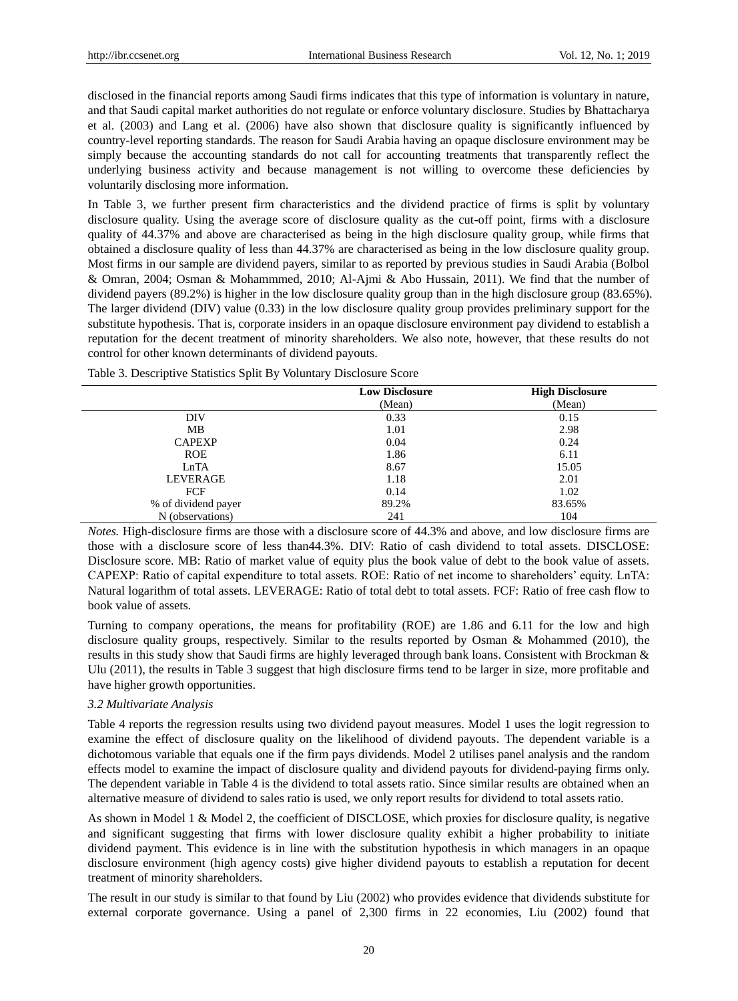disclosed in the financial reports among Saudi firms indicates that this type of information is voluntary in nature, and that Saudi capital market authorities do not regulate or enforce voluntary disclosure. Studies by Bhattacharya et al. (2003) and Lang et al. (2006) have also shown that disclosure quality is significantly influenced by country-level reporting standards. The reason for Saudi Arabia having an opaque disclosure environment may be simply because the accounting standards do not call for accounting treatments that transparently reflect the underlying business activity and because management is not willing to overcome these deficiencies by voluntarily disclosing more information.

In Table 3, we further present firm characteristics and the dividend practice of firms is split by voluntary disclosure quality. Using the average score of disclosure quality as the cut-off point, firms with a disclosure quality of 44.37% and above are characterised as being in the high disclosure quality group, while firms that obtained a disclosure quality of less than 44.37% are characterised as being in the low disclosure quality group. Most firms in our sample are dividend payers, similar to as reported by previous studies in Saudi Arabia (Bolbol & Omran, 2004; Osman & Mohammmed, 2010; Al-Ajmi & Abo Hussain, 2011). We find that the number of dividend payers (89.2%) is higher in the low disclosure quality group than in the high disclosure group (83.65%). The larger dividend (DIV) value (0.33) in the low disclosure quality group provides preliminary support for the substitute hypothesis. That is, corporate insiders in an opaque disclosure environment pay dividend to establish a reputation for the decent treatment of minority shareholders. We also note, however, that these results do not control for other known determinants of dividend payouts.

|                     | <b>Low Disclosure</b> | <b>High Disclosure</b> |
|---------------------|-----------------------|------------------------|
|                     | (Mean)                | (Mean)                 |
| DIV                 | 0.33                  | 0.15                   |
| MB                  | 1.01                  | 2.98                   |
| <b>CAPEXP</b>       | 0.04                  | 0.24                   |
| <b>ROE</b>          | 1.86                  | 6.11                   |
| LnTA                | 8.67                  | 15.05                  |
| <b>LEVERAGE</b>     | 1.18                  | 2.01                   |
| FCF                 | 0.14                  | 1.02                   |
| % of dividend payer | 89.2%                 | 83.65%                 |
| N (observations)    | 241                   | 104                    |

Table 3. Descriptive Statistics Split By Voluntary Disclosure Score

*Notes.* High-disclosure firms are those with a disclosure score of 44.3% and above, and low disclosure firms are those with a disclosure score of less than44.3%. DIV: Ratio of cash dividend to total assets. DISCLOSE: Disclosure score. MB: Ratio of market value of equity plus the book value of debt to the book value of assets. CAPEXP: Ratio of capital expenditure to total assets. ROE: Ratio of net income to shareholders' equity. LnTA: Natural logarithm of total assets. LEVERAGE: Ratio of total debt to total assets. FCF: Ratio of free cash flow to book value of assets.

Turning to company operations, the means for profitability (ROE) are 1.86 and 6.11 for the low and high disclosure quality groups, respectively. Similar to the results reported by Osman & Mohammed (2010), the results in this study show that Saudi firms are highly leveraged through bank loans. Consistent with Brockman & Ulu (2011), the results in Table 3 suggest that high disclosure firms tend to be larger in size, more profitable and have higher growth opportunities.

#### *3.2 Multivariate Analysis*

Table 4 reports the regression results using two dividend payout measures. Model 1 uses the logit regression to examine the effect of disclosure quality on the likelihood of dividend payouts. The dependent variable is a dichotomous variable that equals one if the firm pays dividends. Model 2 utilises panel analysis and the random effects model to examine the impact of disclosure quality and dividend payouts for dividend-paying firms only. The dependent variable in Table 4 is the dividend to total assets ratio. Since similar results are obtained when an alternative measure of dividend to sales ratio is used, we only report results for dividend to total assets ratio.

As shown in Model 1 & Model 2, the coefficient of DISCLOSE, which proxies for disclosure quality, is negative and significant suggesting that firms with lower disclosure quality exhibit a higher probability to initiate dividend payment. This evidence is in line with the substitution hypothesis in which managers in an opaque disclosure environment (high agency costs) give higher dividend payouts to establish a reputation for decent treatment of minority shareholders.

The result in our study is similar to that found by Liu (2002) who provides evidence that dividends substitute for external corporate governance. Using a panel of 2,300 firms in 22 economies, Liu (2002) found that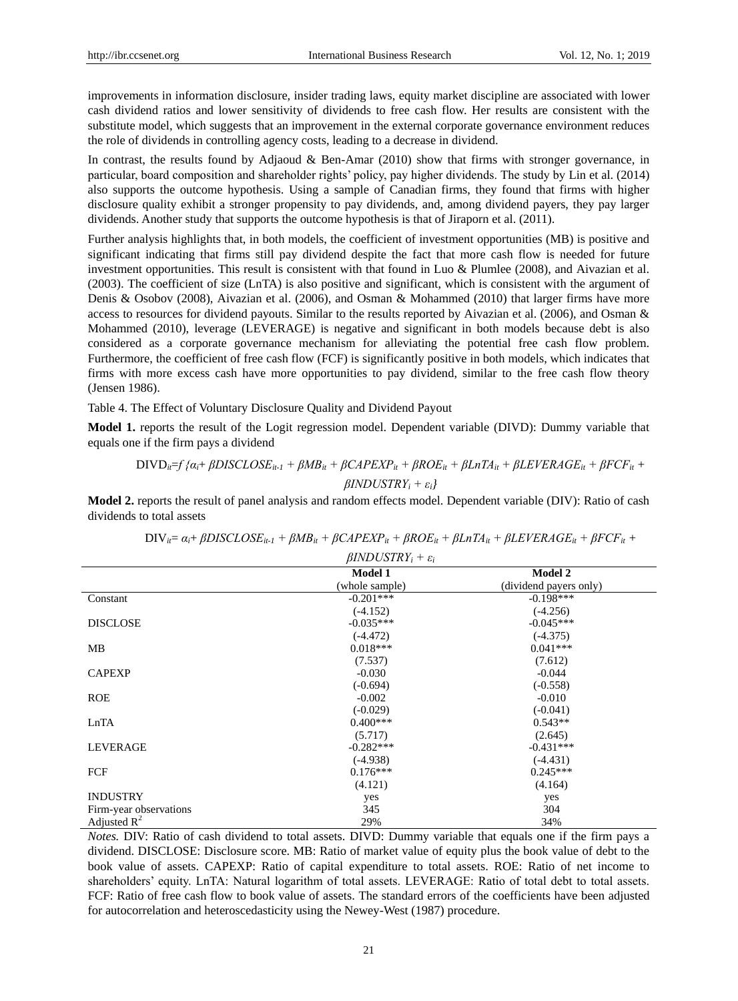improvements in information disclosure, insider trading laws, equity market discipline are associated with lower cash dividend ratios and lower sensitivity of dividends to free cash flow. Her results are consistent with the substitute model, which suggests that an improvement in the external corporate governance environment reduces the role of dividends in controlling agency costs, leading to a decrease in dividend.

In contrast, the results found by Adjaoud & Ben-Amar (2010) show that firms with stronger governance, in particular, board composition and shareholder rights' policy, pay higher dividends. The study by Lin et al. (2014) also supports the outcome hypothesis. Using a sample of Canadian firms, they found that firms with higher disclosure quality exhibit a stronger propensity to pay dividends, and, among dividend payers, they pay larger dividends. Another study that supports the outcome hypothesis is that of Jiraporn et al. (2011).

Further analysis highlights that, in both models, the coefficient of investment opportunities (MB) is positive and significant indicating that firms still pay dividend despite the fact that more cash flow is needed for future investment opportunities. This result is consistent with that found in Luo & Plumlee (2008), and Aivazian et al. (2003). The coefficient of size (LnTA) is also positive and significant, which is consistent with the argument of Denis & Osobov (2008), Aivazian et al. (2006), and Osman & Mohammed (2010) that larger firms have more access to resources for dividend payouts. Similar to the results reported by Aivazian et al. (2006), and Osman & Mohammed (2010), leverage (LEVERAGE) is negative and significant in both models because debt is also considered as a corporate governance mechanism for alleviating the potential free cash flow problem. Furthermore, the coefficient of free cash flow (FCF) is significantly positive in both models, which indicates that firms with more excess cash have more opportunities to pay dividend, similar to the free cash flow theory (Jensen 1986).

Table 4. The Effect of Voluntary Disclosure Quality and Dividend Payout

**Model 1.** reports the result of the Logit regression model. Dependent variable (DIVD): Dummy variable that equals one if the firm pays a dividend

# $DIVD_{ii} = f \{a_i + \beta DISCLOSE_{ii-1} + \beta MB_{ii} + \beta CAPEXP_{ii} + \beta ROE_{ii} + \beta LnTA_{ii} + \beta LEVERAGE_{ii} + \beta FCF_{ii} + \beta LnTA_{ii} + \beta LPPERAGE_{ii} + \beta FCF_{ii} + \beta LnTA_{ii} + \beta LnTA_{ii} + \beta LnTA_{ii} + \beta FCF_{ii} + \beta FCF_{ii} + \beta FCF_{ii} + \beta FCF_{ii} + \beta FCF_{ii} + \beta FCF_{ii} + \beta FCF_{ii} + \beta FCF_{ii} + \beta FCF_{ii} + \beta FCF_{ii} + \beta FCF_{ii} + \beta FCF_{$ *βINDUSTRY<sup>i</sup> + εi}*

**Model 2.** reports the result of panel analysis and random effects model. Dependent variable (DIV): Ratio of cash dividends to total assets

|                        | <b>Model 1</b> | <b>Model 2</b>         |  |
|------------------------|----------------|------------------------|--|
|                        | (whole sample) | (dividend payers only) |  |
| Constant               | $-0.201***$    | $-0.198***$            |  |
|                        | $(-4.152)$     | $(-4.256)$             |  |
| <b>DISCLOSE</b>        | $-0.035***$    | $-0.045***$            |  |
|                        | $(-4.472)$     | $(-4.375)$             |  |
| MB                     | $0.018***$     | $0.041***$             |  |
|                        | (7.537)        | (7.612)                |  |
| <b>CAPEXP</b>          | $-0.030$       | $-0.044$               |  |
|                        | $(-0.694)$     | $(-0.558)$             |  |
| <b>ROE</b>             | $-0.002$       | $-0.010$               |  |
|                        | $(-0.029)$     | $(-0.041)$             |  |
| LnTA                   | $0.400***$     | $0.543**$              |  |
|                        | (5.717)        | (2.645)                |  |
| LEVERAGE               | $-0.282***$    | $-0.431***$            |  |
|                        | $(-4.938)$     | $(-4.431)$             |  |
| FCF                    | $0.176***$     | $0.245***$             |  |
|                        | (4.121)        | (4.164)                |  |
| <b>INDUSTRY</b>        | yes            | yes                    |  |
| Firm-year observations | 345            | 304                    |  |
| Adjusted $R^2$         | 29%            | 34%                    |  |

$$
DIV_{ii} = \alpha_{i} + \beta DISCLOSE_{it\text{-}1} + \beta MB_{it} + \beta CAPEXP_{it} + \beta ROE_{it} + \beta LnTA_{it} + \beta LEVERAGE_{it} + \beta FCF_{it} + \\
$$

$$
\beta INDUSTRY_i+\varepsilon_i
$$

*Notes.* DIV: Ratio of cash dividend to total assets. DIVD: Dummy variable that equals one if the firm pays a dividend. DISCLOSE: Disclosure score. MB: Ratio of market value of equity plus the book value of debt to the book value of assets. CAPEXP: Ratio of capital expenditure to total assets. ROE: Ratio of net income to shareholders' equity. LnTA: Natural logarithm of total assets. LEVERAGE: Ratio of total debt to total assets. FCF: Ratio of free cash flow to book value of assets. The standard errors of the coefficients have been adjusted for autocorrelation and heteroscedasticity using the Newey-West (1987) procedure.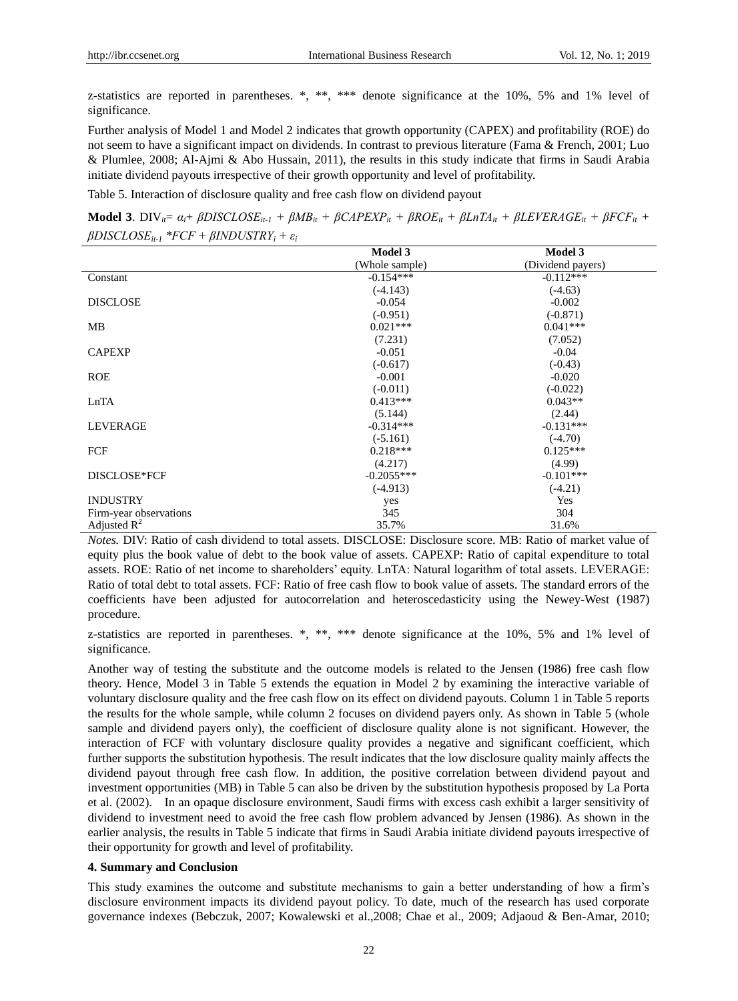z-statistics are reported in parentheses.  $*$ ,  $**$ ,  $***$  denote significance at the 10%, 5% and 1% level of significance.

Further analysis of Model 1 and Model 2 indicates that growth opportunity (CAPEX) and profitability (ROE) do not seem to have a significant impact on dividends. In contrast to previous literature (Fama & French, 2001; Luo & Plumlee, 2008; Al-Ajmi & Abo Hussain, 2011), the results in this study indicate that firms in Saudi Arabia initiate dividend payouts irrespective of their growth opportunity and level of profitability.

Table 5. Interaction of disclosure quality and free cash flow on dividend payout

**Model 3.** DIV<sub>ii</sub>=  $\alpha_i$ +  $\beta$ DISCLOSE<sub>it-1</sub> +  $\beta$ MB<sub>it</sub> +  $\beta$ CAPEXP<sub>it</sub> +  $\beta$ ROE<sub>it</sub> +  $\beta$ LETHERAGE<sub>it</sub> +  $\beta$ FCF<sub>it</sub> + *βDISCLOSEit-1 \*FCF + βINDUSTRY<sup>i</sup> + ε<sup>i</sup>*

|                        | <b>Model 3</b> | <b>Model 3</b>    |
|------------------------|----------------|-------------------|
|                        | (Whole sample) | (Dividend payers) |
| Constant               | $-0.154***$    | $-0.112***$       |
|                        | $(-4.143)$     | $(-4.63)$         |
| <b>DISCLOSE</b>        | $-0.054$       | $-0.002$          |
|                        | $(-0.951)$     | $(-0.871)$        |
| MB                     | $0.021***$     | $0.041***$        |
|                        | (7.231)        | (7.052)           |
| <b>CAPEXP</b>          | $-0.051$       | $-0.04$           |
|                        | $(-0.617)$     | $(-0.43)$         |
| <b>ROE</b>             | $-0.001$       | $-0.020$          |
|                        | $(-0.011)$     | $(-0.022)$        |
| LnTA                   | $0.413***$     | $0.043**$         |
|                        | (5.144)        | (2.44)            |
| <b>LEVERAGE</b>        | $-0.314***$    | $-0.131***$       |
|                        | $(-5.161)$     | $(-4.70)$         |
| FCF                    | $0.218***$     | $0.125***$        |
|                        | (4.217)        | (4.99)            |
| DISCLOSE*FCF           | $-0.2055***$   | $-0.101***$       |
|                        | $(-4.913)$     | $(-4.21)$         |
| <b>INDUSTRY</b>        | yes            | <b>Yes</b>        |
| Firm-year observations | 345            | 304               |
| Adjusted $R^2$         | 35.7%          | 31.6%             |

*Notes.* DIV: Ratio of cash dividend to total assets. DISCLOSE: Disclosure score. MB: Ratio of market value of equity plus the book value of debt to the book value of assets. CAPEXP: Ratio of capital expenditure to total assets. ROE: Ratio of net income to shareholders' equity. LnTA: Natural logarithm of total assets. LEVERAGE: Ratio of total debt to total assets. FCF: Ratio of free cash flow to book value of assets. The standard errors of the coefficients have been adjusted for autocorrelation and heteroscedasticity using the Newey-West (1987) procedure.

z-statistics are reported in parentheses. \*, \*\*, \*\*\* denote significance at the 10%, 5% and 1% level of significance.

Another way of testing the substitute and the outcome models is related to the Jensen (1986) free cash flow theory. Hence, Model 3 in Table 5 extends the equation in Model 2 by examining the interactive variable of voluntary disclosure quality and the free cash flow on its effect on dividend payouts. Column 1 in Table 5 reports the results for the whole sample, while column 2 focuses on dividend payers only. As shown in Table 5 (whole sample and dividend payers only), the coefficient of disclosure quality alone is not significant. However, the interaction of FCF with voluntary disclosure quality provides a negative and significant coefficient, which further supports the substitution hypothesis. The result indicates that the low disclosure quality mainly affects the dividend payout through free cash flow. In addition, the positive correlation between dividend payout and investment opportunities (MB) in Table 5 can also be driven by the substitution hypothesis proposed by La Porta et al. (2002). In an opaque disclosure environment, Saudi firms with excess cash exhibit a larger sensitivity of dividend to investment need to avoid the free cash flow problem advanced by Jensen (1986). As shown in the earlier analysis, the results in Table 5 indicate that firms in Saudi Arabia initiate dividend payouts irrespective of their opportunity for growth and level of profitability.

#### **4. Summary and Conclusion**

This study examines the outcome and substitute mechanisms to gain a better understanding of how a firm's disclosure environment impacts its dividend payout policy. To date, much of the research has used corporate governance indexes (Bebczuk, 2007; Kowalewski et al.,2008; Chae et al., 2009; Adjaoud & Ben-Amar, 2010;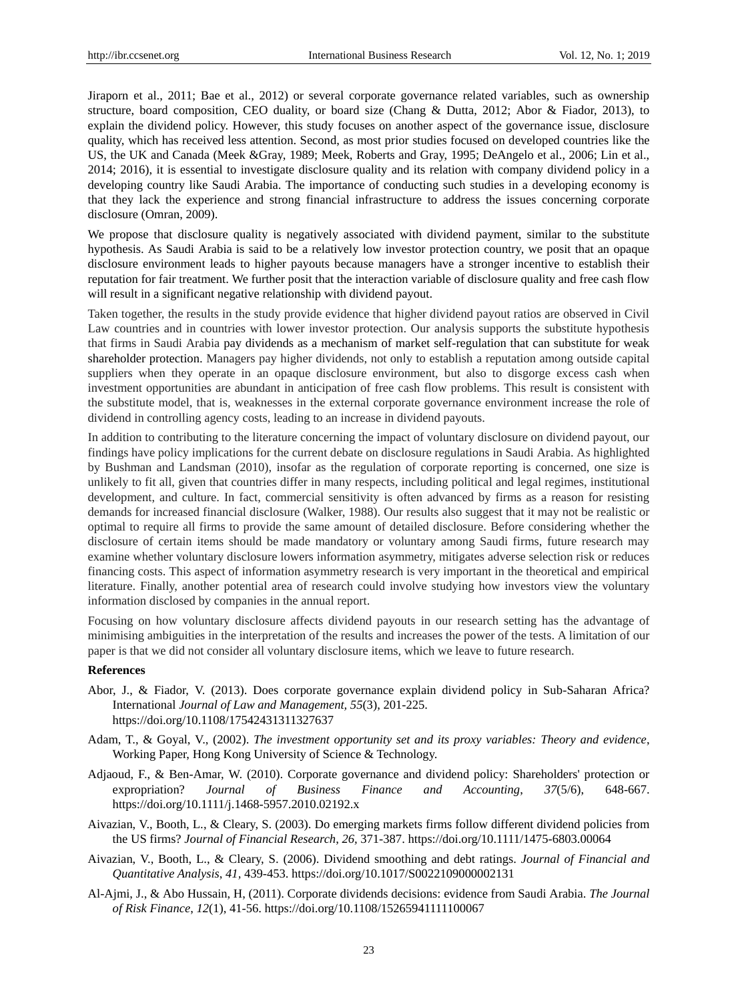Jiraporn et al., 2011; Bae et al., 2012) or several corporate governance related variables, such as ownership structure, board composition, CEO duality, or board size (Chang & Dutta, 2012; Abor & Fiador, 2013), to explain the dividend policy. However, this study focuses on another aspect of the governance issue, disclosure quality, which has received less attention. Second, as most prior studies focused on developed countries like the US, the UK and Canada (Meek &Gray, 1989; Meek, Roberts and Gray, 1995; DeAngelo et al., 2006; Lin et al., 2014; 2016), it is essential to investigate disclosure quality and its relation with company dividend policy in a developing country like Saudi Arabia. The importance of conducting such studies in a developing economy is that they lack the experience and strong financial infrastructure to address the issues concerning corporate disclosure (Omran, 2009).

We propose that disclosure quality is negatively associated with dividend payment, similar to the substitute hypothesis. As Saudi Arabia is said to be a relatively low investor protection country, we posit that an opaque disclosure environment leads to higher payouts because managers have a stronger incentive to establish their reputation for fair treatment. We further posit that the interaction variable of disclosure quality and free cash flow will result in a significant negative relationship with dividend payout.

Taken together, the results in the study provide evidence that higher dividend payout ratios are observed in Civil Law countries and in countries with lower investor protection. Our analysis supports the substitute hypothesis that firms in Saudi Arabia pay dividends as a mechanism of market self-regulation that can substitute for weak shareholder protection. Managers pay higher dividends, not only to establish a reputation among outside capital suppliers when they operate in an opaque disclosure environment, but also to disgorge excess cash when investment opportunities are abundant in anticipation of free cash flow problems. This result is consistent with the substitute model, that is, weaknesses in the external corporate governance environment increase the role of dividend in controlling agency costs, leading to an increase in dividend payouts.

In addition to contributing to the literature concerning the impact of voluntary disclosure on dividend payout, our findings have policy implications for the current debate on disclosure regulations in Saudi Arabia. As highlighted by Bushman and Landsman (2010), insofar as the regulation of corporate reporting is concerned, one size is unlikely to fit all, given that countries differ in many respects, including political and legal regimes, institutional development, and culture. In fact, commercial sensitivity is often advanced by firms as a reason for resisting demands for increased financial disclosure (Walker, 1988). Our results also suggest that it may not be realistic or optimal to require all firms to provide the same amount of detailed disclosure. Before considering whether the disclosure of certain items should be made mandatory or voluntary among Saudi firms, future research may examine whether voluntary disclosure lowers information asymmetry, mitigates adverse selection risk or reduces financing costs. This aspect of information asymmetry research is very important in the theoretical and empirical literature. Finally, another potential area of research could involve studying how investors view the voluntary information disclosed by companies in the annual report.

Focusing on how voluntary disclosure affects dividend payouts in our research setting has the advantage of minimising ambiguities in the interpretation of the results and increases the power of the tests. A limitation of our paper is that we did not consider all voluntary disclosure items, which we leave to future research.

#### **References**

- Abor, J., & Fiador, V. (2013). Does corporate governance explain dividend policy in Sub-Saharan Africa? International *Journal of Law and Management, 55*(3), 201-225. https://doi.org/10.1108/17542431311327637
- Adam, T., & Goyal, V., (2002). *The investment opportunity set and its proxy variables: Theory and evidence*, Working Paper, Hong Kong University of Science & Technology.
- Adjaoud, F., & Ben-Amar, W. (2010). Corporate governance and dividend policy: Shareholders' protection or expropriation? *Journal of Business Finance and Accounting*, *37*(5/6), 648-667. https://doi.org/10.1111/j.1468-5957.2010.02192.x
- Aivazian, V., Booth, L., & Cleary, S. (2003). Do emerging markets firms follow different dividend policies from the US firms? *Journal of Financial Research*, *26,* 371-387. https://doi.org/10.1111/1475-6803.00064
- Aivazian, V., Booth, L., & Cleary, S. (2006). Dividend smoothing and debt ratings. *Journal of Financial and Quantitative Analysis*, *41,* 439-453. https://doi.org/10.1017/S0022109000002131
- Al-Ajmi, J., & Abo Hussain, H, (2011). Corporate dividends decisions: evidence from Saudi Arabia. *The Journal of Risk Finance*, *12*(1), 41-56. https://doi.org/10.1108/15265941111100067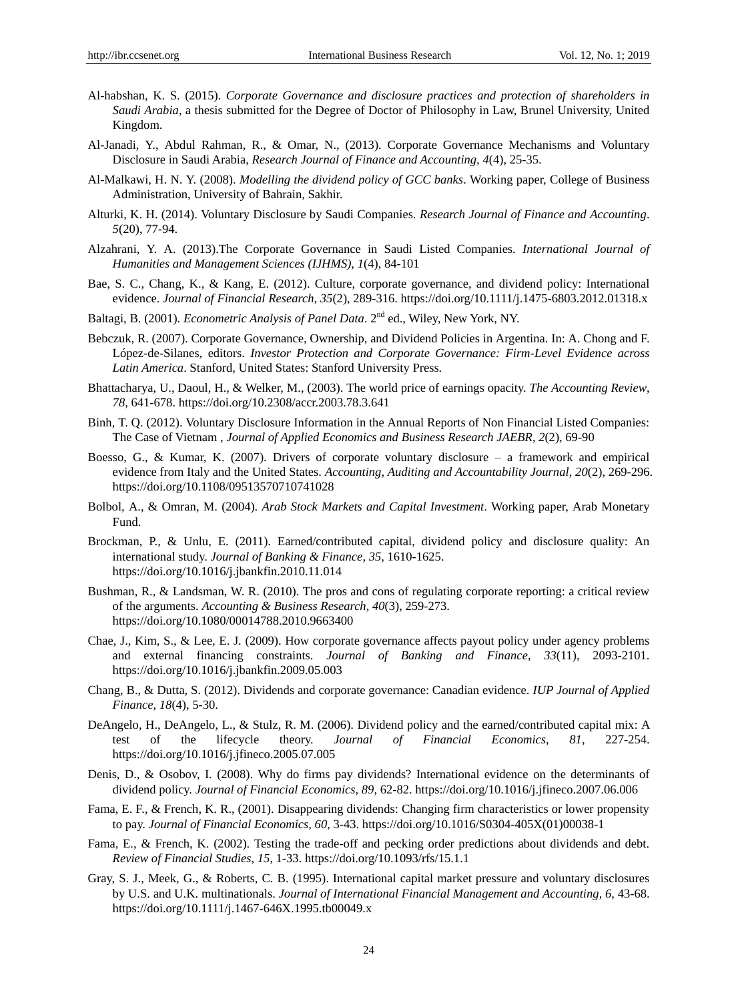- Al-habshan, K. S. (2015). *Corporate Governance and disclosure practices and protection of shareholders in Saudi Arabia*, a thesis submitted for the Degree of Doctor of Philosophy in Law, Brunel University, United Kingdom.
- Al-Janadi, Y., Abdul Rahman, R., & Omar, N., (2013). Corporate Governance Mechanisms and Voluntary Disclosure in Saudi Arabia, *Research Journal of Finance and Accounting, 4*(4), 25-35.
- Al-Malkawi, H. N. Y. (2008). *Modelling the dividend policy of GCC banks*. Working paper, College of Business Administration, University of Bahrain, Sakhir.
- Alturki, K. H. (2014). Voluntary Disclosure by Saudi Companies. *Research Journal of Finance and Accounting*. *5*(20), 77-94.
- Alzahrani, Y. A. (2013).The Corporate Governance in Saudi Listed Companies. *International Journal of Humanities and Management Sciences (IJHMS), 1*(4), 84-101
- Bae, S. C., Chang, K., & Kang, E. (2012). Culture, corporate governance, and dividend policy: International evidence. *Journal of Financial Research*, *35*(2), 289-316. https://doi.org/10.1111/j.1475-6803.2012.01318.x
- Baltagi, B. (2001). *Econometric Analysis of Panel Data*. 2nd ed., Wiley, New York, NY.
- Bebczuk, R. (2007). Corporate Governance, Ownership, and Dividend Policies in Argentina. In: A. Chong and F. López-de-Silanes, editors. *Investor Protection and Corporate Governance: Firm-Level Evidence across Latin America*. Stanford, United States: Stanford University Press.
- Bhattacharya, U., Daoul, H., & Welker, M., (2003). The world price of earnings opacity. *The Accounting Review*, *78,* 641-678. https://doi.org/10.2308/accr.2003.78.3.641
- Binh, T. Q. (2012). Voluntary Disclosure Information in the Annual Reports of Non Financial Listed Companies: The Case of Vietnam , *Journal of Applied Economics and Business Research JAEBR*, *2*(2), 69-90
- Boesso, G., & Kumar, K. (2007). Drivers of corporate voluntary disclosure a framework and empirical evidence from Italy and the United States. *Accounting, Auditing and Accountability Journal*, *20*(2), 269-296. https://doi.org/10.1108/09513570710741028
- Bolbol, A., & Omran, M. (2004). *Arab Stock Markets and Capital Investment*. Working paper, Arab Monetary Fund.
- Brockman, P., & Unlu, E. (2011). Earned/contributed capital, dividend policy and disclosure quality: An international study. *Journal of Banking & Finance*, *35*, 1610-1625. https://doi.org/10.1016/j.jbankfin.2010.11.014
- Bushman, R., & Landsman, W. R. (2010). The pros and cons of regulating corporate reporting: a critical review of the arguments. *Accounting & Business Research*, *40*(3), 259-273. https://doi.org/10.1080/00014788.2010.9663400
- Chae, J., Kim, S., & Lee, E. J. (2009). How corporate governance affects payout policy under agency problems and external financing constraints. *Journal of Banking and Finance*, *33*(11), 2093-2101. https://doi.org/10.1016/j.jbankfin.2009.05.003
- Chang, B., & Dutta, S. (2012). Dividends and corporate governance: Canadian evidence. *IUP Journal of Applied Finance*, *18*(4), 5-30.
- DeAngelo, H., DeAngelo, L., & Stulz, R. M. (2006). Dividend policy and the earned/contributed capital mix: A test of the lifecycle theory. *Journal of Financial Economics*, *81*, 227-254. https://doi.org/10.1016/j.jfineco.2005.07.005
- Denis, D., & Osobov, I. (2008). Why do firms pay dividends? International evidence on the determinants of dividend policy. *Journal of Financial Economics, 89*, 62-82. https://doi.org/10.1016/j.jfineco.2007.06.006
- Fama, E. F., & French, K. R., (2001). Disappearing dividends: Changing firm characteristics or lower propensity to pay. *Journal of Financial Economics, 60*, 3-43. https://doi.org/10.1016/S0304-405X(01)00038-1
- Fama, E., & French, K. (2002). Testing the trade-off and pecking order predictions about dividends and debt. *Review of Financial Studies*, *15,* 1-33. https://doi.org/10.1093/rfs/15.1.1
- Gray, S. J., Meek, G., & Roberts, C. B. (1995). International capital market pressure and voluntary disclosures by U.S. and U.K. multinationals. *Journal of International Financial Management and Accounting*, *6*, 43-68. https://doi.org/10.1111/j.1467-646X.1995.tb00049.x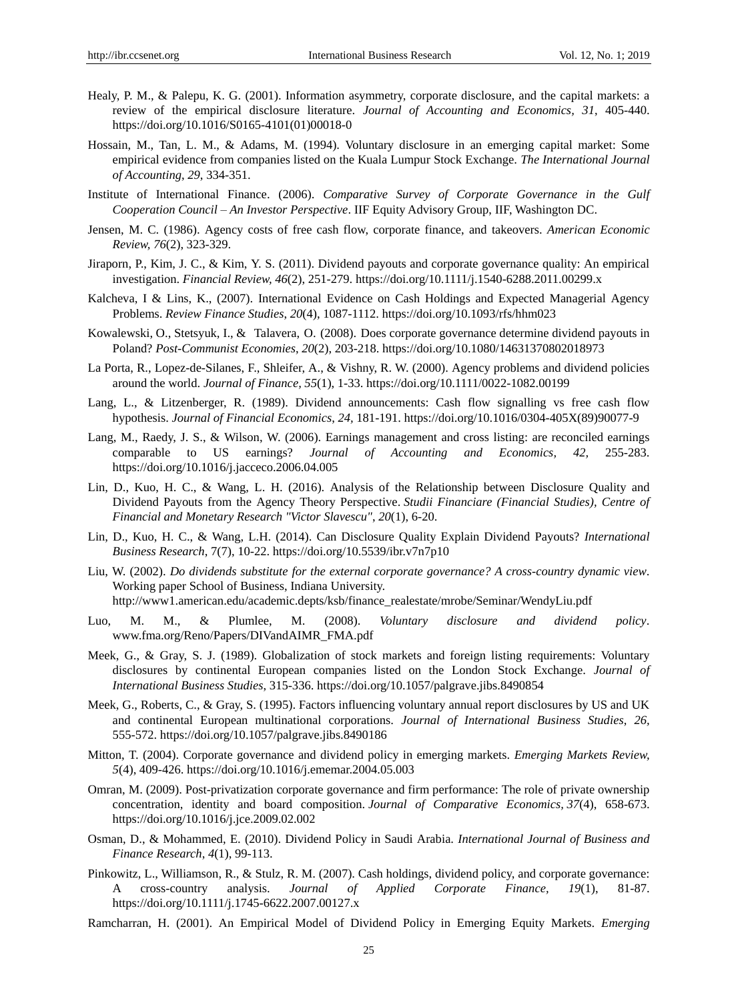- Healy, P. M., & Palepu, K. G. (2001). Information asymmetry, corporate disclosure, and the capital markets: a review of the empirical disclosure literature. *Journal of Accounting and Economics, 31*, 405-440. https://doi.org/10.1016/S0165-4101(01)00018-0
- Hossain, M., Tan, L. M., & Adams, M. (1994). Voluntary disclosure in an emerging capital market: Some empirical evidence from companies listed on the Kuala Lumpur Stock Exchange. *The International Journal of Accounting*, *29*, 334-351.
- Institute of International Finance. (2006). *Comparative Survey of Corporate Governance in the Gulf Cooperation Council – An Investor Perspective*. IIF Equity Advisory Group, IIF, Washington DC.
- Jensen, M. C. (1986). Agency costs of free cash flow, corporate finance, and takeovers. *American Economic Review, 76*(2), 323-329.
- Jiraporn, P., Kim, J. C., & Kim, Y. S. (2011). Dividend payouts and corporate governance quality: An empirical investigation. *Financial Review, 46*(2), 251-279. https://doi.org/10.1111/j.1540-6288.2011.00299.x
- Kalcheva, I & Lins, K., (2007). International Evidence on Cash Holdings and Expected Managerial Agency Problems. *Review Finance Studies*, *20*(4), 1087-1112. https://doi.org/10.1093/rfs/hhm023
- [Kowalewski,](http://www.tandfonline.com/author/Kowalewski%2C+Oskar) O., Stetsyuk, I., & [Talavera,](http://www.tandfonline.com/author/Talavera%2C+Oleksandr) O. (2008). Does corporate governance determine dividend payouts in Poland? *Post-Communist Economies*, *[20](http://www.tandfonline.com/loi/cpce20?open=20#vol_20)*(2), 203-218. https://doi.org/10.1080/14631370802018973
- La Porta, R., Lopez-de-Silanes, F., Shleifer, A., & Vishny, R. W. (2000). Agency problems and dividend policies around the world. *Journal of Finance, 55*(1), 1-33. https://doi.org/10.1111/0022-1082.00199
- Lang, L., & Litzenberger, R. (1989). Dividend announcements: Cash flow signalling vs free cash flow hypothesis. *Journal of Financial Economics*, *24,* 181-191. https://doi.org/10.1016/0304-405X(89)90077-9
- Lang, M., Raedy, J. S., & Wilson, W. (2006). Earnings management and cross listing: are reconciled earnings comparable to US earnings? *Journal of Accounting and Economics, 42,* 255-283. https://doi.org/10.1016/j.jacceco.2006.04.005
- Lin, D., Kuo, H. C., & Wang, L. H. (2016). [Analysis of the Relationship between Disclosure Quality and](https://ideas.repec.org/a/vls/finstu/v20y2016i1p6-20.html)  [Dividend Payouts from the Agency Theory Perspective.](https://ideas.repec.org/a/vls/finstu/v20y2016i1p6-20.html) *[Studii Financiare \(Financial Studies\),](https://ideas.repec.org/s/vls/finstu.html) Centre of Financial and Monetary Research "Victor Slavescu"*, *20*(1), 6-20.
- Lin, D., Kuo, H. C., & Wang, L.H. (2014). Can Disclosure Quality Explain Dividend Payouts? *International Business Research*, 7(7), 10-22. https://doi.org/10.5539/ibr.v7n7p10
- Liu, W. (2002). *Do dividends substitute for the external corporate governance? A cross-country dynamic view*. Working paper School of Business, Indiana University. http://www1.american.edu/academic.depts/ksb/finance\_realestate/mrobe/Seminar/WendyLiu.pdf
- Luo, M. M., & Plumlee, M. (2008). *Voluntary disclosure and dividend policy*. www.fma.org/Reno/Papers/DIVandAIMR\_FMA.pdf
- Meek, G., & Gray, S. J. (1989). Globalization of stock markets and foreign listing requirements: Voluntary disclosures by continental European companies listed on the London Stock Exchange. *Journal of International Business Studies*, 315-336. https://doi.org/10.1057/palgrave.jibs.8490854
- Meek, G., Roberts, C., & Gray, S. (1995). Factors influencing voluntary annual report disclosures by US and UK and continental European multinational corporations. *Journal of International Business Studies*, *26,*  555-572. https://doi.org/10.1057/palgrave.jibs.8490186
- Mitton, T. (2004). Corporate governance and dividend policy in emerging markets. *Emerging Markets Review, 5*(4), 409-426. https://doi.org/10.1016/j.ememar.2004.05.003
- Omran, M. (2009). Post-privatization corporate governance and firm performance: The role of private ownership concentration, identity and board composition. *Journal of Comparative Economics, 37*(4), 658-673. https://doi.org/10.1016/j.jce.2009.02.002
- Osman, D., & Mohammed, E. (2010). Dividend Policy in Saudi Arabia. *International Journal of Business and Finance Research*, *4*(1), 99-113.
- Pinkowitz, L., Williamson, R., & Stulz, R. M. (2007). Cash holdings, dividend policy, and corporate governance: A cross-country analysis. *Journal of Applied Corporate Finance, 19*(1), 81-87. https://doi.org/10.1111/j.1745-6622.2007.00127.x
- Ramcharran, H. (2001). An Empirical Model of Dividend Policy in Emerging Equity Markets. *Emerging*